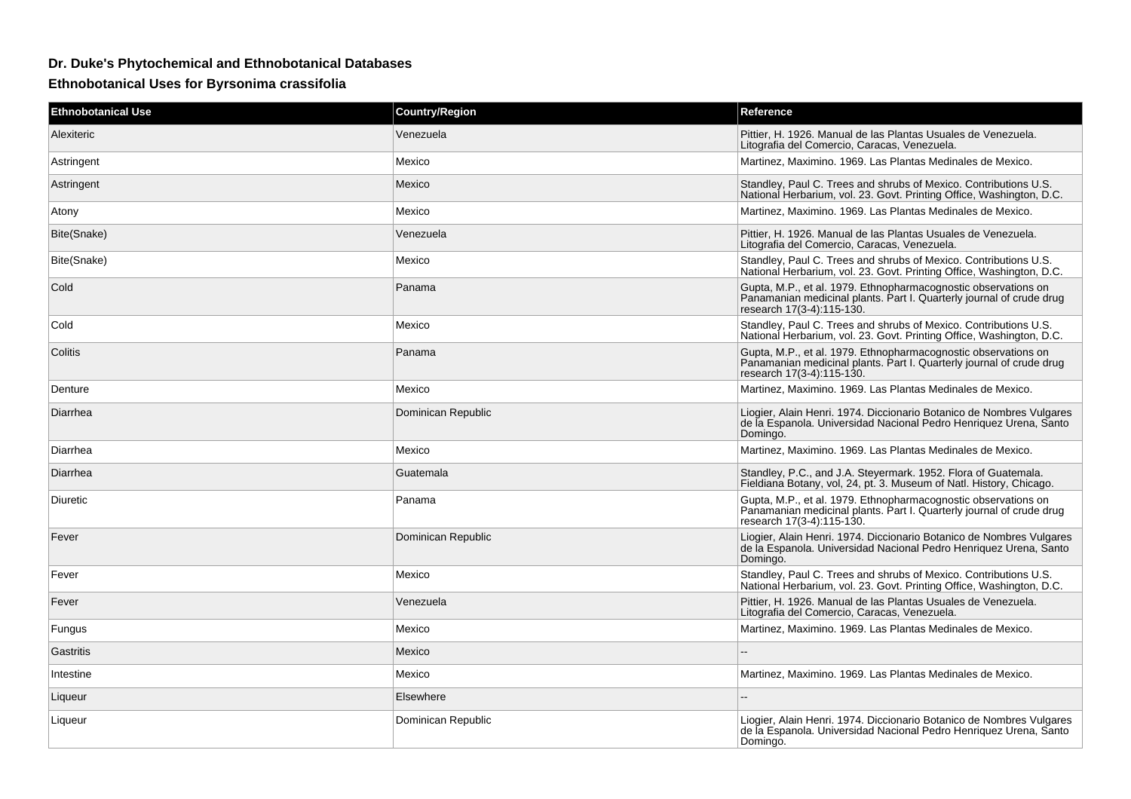## **Dr. Duke's Phytochemical and Ethnobotanical Databases**

## **Ethnobotanical Uses for Byrsonima crassifolia**

| <b>Ethnobotanical Use</b> | <b>Country/Region</b> | Reference                                                                                                                                                           |
|---------------------------|-----------------------|---------------------------------------------------------------------------------------------------------------------------------------------------------------------|
| Alexiteric                | Venezuela             | Pittier, H. 1926. Manual de las Plantas Usuales de Venezuela.<br>Litografia del Comercio, Caracas, Venezuela.                                                       |
| Astringent                | Mexico                | Martinez, Maximino. 1969. Las Plantas Medinales de Mexico.                                                                                                          |
| Astringent                | Mexico                | Standley, Paul C. Trees and shrubs of Mexico. Contributions U.S.<br>National Herbarium, vol. 23. Govt. Printing Office, Washington, D.C.                            |
| Atony                     | Mexico                | Martinez, Maximino. 1969. Las Plantas Medinales de Mexico.                                                                                                          |
| Bite(Snake)               | Venezuela             | Pittier, H. 1926. Manual de las Plantas Usuales de Venezuela.<br>Litografia del Comercio, Caracas, Venezuela.                                                       |
| Bite(Snake)               | Mexico                | Standley, Paul C. Trees and shrubs of Mexico. Contributions U.S.<br>National Herbarium, vol. 23. Govt. Printing Office, Washington, D.C.                            |
| Cold                      | Panama                | Gupta, M.P., et al. 1979. Ethnopharmacognostic observations on<br>Panamanian medicinal plants. Part I. Quarterly journal of crude drug<br>research 17(3-4):115-130. |
| Cold                      | Mexico                | Standley, Paul C. Trees and shrubs of Mexico. Contributions U.S.<br>National Herbarium, vol. 23. Govt. Printing Office, Washington, D.C.                            |
| Colitis                   | Panama                | Gupta, M.P., et al. 1979. Ethnopharmacognostic observations on<br>Panamanian medicinal plants. Part I. Quarterly journal of crude drug<br>research 17(3-4):115-130. |
| Denture                   | Mexico                | Martinez, Maximino. 1969. Las Plantas Medinales de Mexico.                                                                                                          |
| Diarrhea                  | Dominican Republic    | Liogier, Alain Henri. 1974. Diccionario Botanico de Nombres Vulgares<br>de la Espanola. Universidad Nacional Pedro Henriquez Urena, Santo<br>Domingo.               |
| Diarrhea                  | Mexico                | Martinez, Maximino. 1969. Las Plantas Medinales de Mexico.                                                                                                          |
| Diarrhea                  | Guatemala             | Standley, P.C., and J.A. Steyermark. 1952. Flora of Guatemala.<br>Fieldiana Botany, vol. 24, pt. 3. Museum of Natl. History, Chicago.                               |
| Diuretic                  | Panama                | Gupta, M.P., et al. 1979. Ethnopharmacognostic observations on<br>Panamanian medicinal plants. Part I. Quarterly journal of crude drug<br>research 17(3-4):115-130. |
| Fever                     | Dominican Republic    | Liogier, Alain Henri. 1974. Diccionario Botanico de Nombres Vulgares<br>de la Espanola. Universidad Nacional Pedro Henriquez Urena, Santo<br>Domingo.               |
| Fever                     | Mexico                | Standley, Paul C. Trees and shrubs of Mexico. Contributions U.S.<br>National Herbarium, vol. 23. Govt. Printing Office, Washington, D.C.                            |
| Fever                     | Venezuela             | Pittier, H. 1926. Manual de las Plantas Usuales de Venezuela.<br>Litografia del Comercio, Caracas, Venezuela.                                                       |
| Fungus                    | Mexico                | Martinez, Maximino. 1969. Las Plantas Medinales de Mexico.                                                                                                          |
| Gastritis                 | Mexico                |                                                                                                                                                                     |
| Intestine                 | Mexico                | Martinez, Maximino. 1969. Las Plantas Medinales de Mexico.                                                                                                          |
| Liqueur                   | Elsewhere             |                                                                                                                                                                     |
| Liqueur                   | Dominican Republic    | Liogier, Alain Henri. 1974. Diccionario Botanico de Nombres Vulgares<br>de la Espanola. Universidad Nacional Pedro Henriquez Urena, Santo<br>Domingo.               |